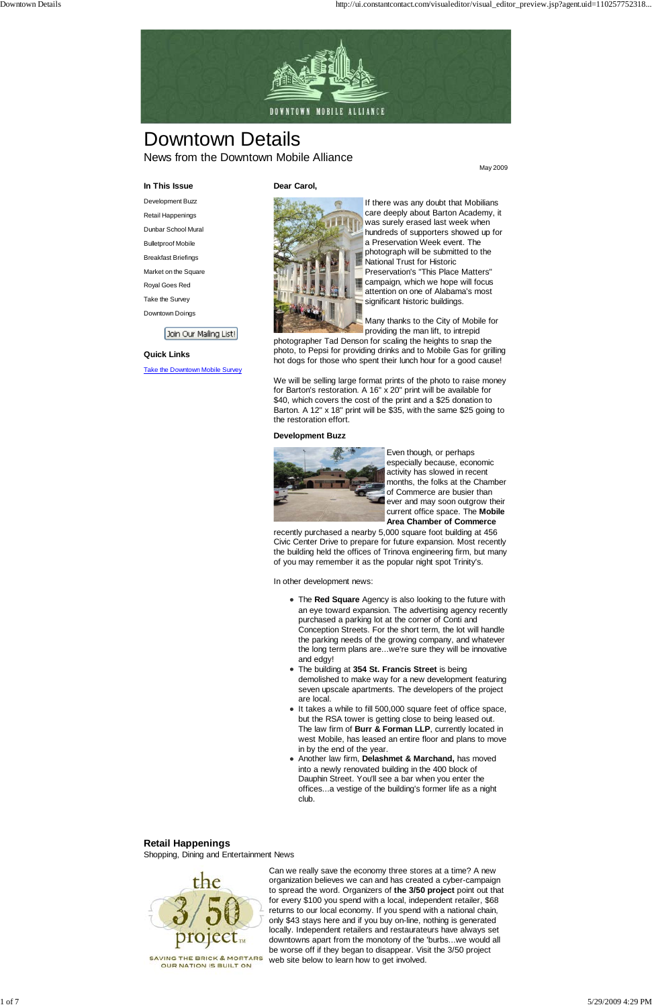

# Downtown Details News from the Downtown Mobile Alliance

May 2009

**In This Issue**

Development Buzz Retail Happenings

Dunbar School Mural

Bulletproof Mobile

Breakfast Briefings

Market on the Square

Royal Goes Red Take the Survey

Downtown Doings

Join Our Mailing List!

#### **Quick Links**

**Take the Downtown Mobile Survey** 



#### **Dear Carol,**

If there was any doubt that Mobilians care deeply about Barton Academy, it was surely erased last week when hundreds of supporters showed up for a Preservation Week event. The photograph will be submitted to the National Trust for Historic Preservation's "This Place Matters" campaign, which we hope will focus attention on one of Alabama's most significant historic buildings.

Many thanks to the City of Mobile for providing the man lift, to intrepid

photographer Tad Denson for scaling the heights to snap the photo, to Pepsi for providing drinks and to Mobile Gas for grilling hot dogs for those who spent their lunch hour for a good cause!

We will be selling large format prints of the photo to raise money for Barton's restoration. A 16" x 20" print will be available for \$40, which covers the cost of the print and a \$25 donation to Barton. A 12" x 18" print will be \$35, with the same \$25 going to the restoration effort.

#### **Development Buzz**



Even though, or perhaps especially because, economic activity has slowed in recent months, the folks at the Chamber of Commerce are busier than ever and may soon outgrow their current office space. The **Mobile Area Chamber of Commerce**

recently purchased a nearby 5,000 square foot building at 456 Civic Center Drive to prepare for future expansion. Most recently the building held the offices of Trinova engineering firm, but many of you may remember it as the popular night spot Trinity's.

In other development news:

- The **Red Square** Agency is also looking to the future with an eye toward expansion. The advertising agency recently purchased a parking lot at the corner of Conti and Conception Streets. For the short term, the lot will handle the parking needs of the growing company, and whatever the long term plans are...we're sure they will be innovative and edgy!
- The building at **354 St. Francis Street** is being demolished to make way for a new development featuring seven upscale apartments. The developers of the project are local.
- It takes a while to fill 500,000 square feet of office space, but the RSA tower is getting close to being leased out. The law firm of **Burr & Forman LLP**, currently located in west Mobile, has leased an entire floor and plans to move in by the end of the year.

Another law firm, **Delashmet & Marchand,** has moved into a newly renovated building in the 400 block of Dauphin Street. You'll see a bar when you enter the offices...a vestige of the building's former life as a night club.

#### **Retail Happenings**

Shopping, Dining and Entertainment News



**SAVING THE BRICK & MORTARS** OUR NATION IS BUILT ON

Can we really save the economy three stores at a time? A new organization believes we can and has created a cyber-campaign to spread the word. Organizers of **the 3/50 project** point out that for every \$100 you spend with a local, independent retailer, \$68 returns to our local economy. If you spend with a national chain, only \$43 stays here and if you buy on-line, nothing is generated locally. Independent retailers and restaurateurs have always set downtowns apart from the monotony of the 'burbs...we would all be worse off if they began to disappear. Visit the 3/50 project web site below to learn how to get involved.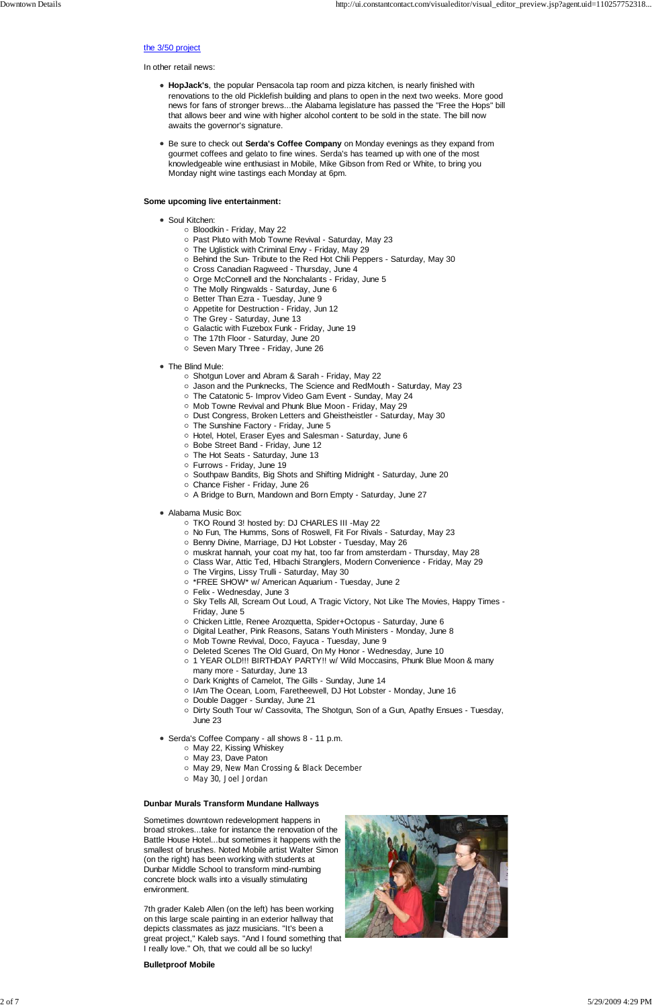#### the 3/50 project

In other retail news:

- **HopJack's**, the popular Pensacola tap room and pizza kitchen, is nearly finished with renovations to the old Picklefish building and plans to open in the next two weeks. More good news for fans of stronger brews...the Alabama legislature has passed the "Free the Hops" bill that allows beer and wine with higher alcohol content to be sold in the state. The bill now awaits the governor's signature.
- **Be sure to check out Serda's Coffee Company** on Monday evenings as they expand from gourmet coffees and gelato to fine wines. Serda's has teamed up with one of the most knowledgeable wine enthusiast in Mobile, Mike Gibson from Red or White, to bring you Monday night wine tastings each Monday at 6pm.

#### **Some upcoming live entertainment:**

- Soul Kitchen:
	- Bloodkin Friday, May 22
	- Past Pluto with Mob Towne Revival Saturday, May 23
	- The Uglistick with Criminal Envy Friday, May 29
	- Behind the Sun- Tribute to the Red Hot Chili Peppers Saturday, May 30
	- o Cross Canadian Ragweed Thursday, June 4
	- Orge McConnell and the Nonchalants Friday, June 5
	- The Molly Ringwalds Saturday, June 6
	- o Better Than Ezra Tuesday, June 9
	- Appetite for Destruction Friday, Jun 12
	- The Grey Saturday, June 13
	- Galactic with Fuzebox Funk Friday, June 19
	- The 17th Floor Saturday, June 20
	- $\circ$  Seven Mary Three Friday, June 26
- The Blind Mule:
	- Shotgun Lover and Abram & Sarah Friday, May 22
	- Jason and the Punknecks, The Science and RedMouth Saturday, May 23
	- The Catatonic 5- Improv Video Gam Event Sunday, May 24
	- o Mob Towne Revival and Phunk Blue Moon Friday, May 29
	- Dust Congress, Broken Letters and Gheistheistler Saturday, May 30
	- The Sunshine Factory Friday, June 5
	- Hotel, Hotel, Eraser Eyes and Salesman Saturday, June 6
	- Bobe Street Band Friday, June 12
	- The Hot Seats Saturday, June 13
	- Furrows Friday, June 19
	- Southpaw Bandits, Big Shots and Shifting Midnight Saturday, June 20
	- Chance Fisher Friday, June 26
	- A Bridge to Burn, Mandown and Born Empty Saturday, June 27
- Alabama Music Box:
	- TKO Round 3! hosted by: DJ CHARLES III -May 22
	- No Fun, The Humms, Sons of Roswell, Fit For Rivals Saturday, May 23
	- o Benny Divine, Marriage, DJ Hot Lobster Tuesday, May 26
	- $\circ$  muskrat hannah, your coat my hat, too far from amsterdam Thursday, May 28
	- Class War, Attic Ted, Hlbachi Stranglers, Modern Convenience Friday, May 29
	- The Virgins, Lissy Trulli Saturday, May 30
	- $\circ$  \*FREE SHOW\* w/ American Aquarium Tuesday, June 2
	- Felix Wednesday, June 3
	- $\circ$  Sky Tells All, Scream Out Loud, A Tragic Victory, Not Like The Movies, Happy Times -Friday, June 5
	- Chicken Little, Renee Arozquetta, Spider+Octopus Saturday, June 6
	- Digital Leather, Pink Reasons, Satans Youth Ministers Monday, June 8
	- o Mob Towne Revival, Doco, Fayuca Tuesday, June 9
	- o Deleted Scenes The Old Guard, On My Honor Wednesday, June 10
	- 1 YEAR OLD!!! BIRTHDAY PARTY!! w/ Wild Moccasins, Phunk Blue Moon & many many more - Saturday, June 13
	- Dark Knights of Camelot, The Gills Sunday, June 14
	- o IAm The Ocean, Loom, Faretheewell, DJ Hot Lobster Monday, June 16
	- Double Dagger Sunday, June 21
	- $\circ$  Dirty South Tour w/ Cassovita, The Shotgun, Son of a Gun, Apathy Ensues Tuesday, June 23
- Serda's Coffee Company all shows 8 11 p.m.

- o May 22, Kissing Whiskey
- o May 23, Dave Paton
- o May 29, New Man Crossing & Black December
- May 30, Joel Jordan

#### **Dunbar Murals Transform Mundane Hallways**

Sometimes downtown redevelopment happens in broad strokes...take for instance the renovation of the Battle House Hotel...but sometimes it happens with the smallest of brushes. Noted Mobile artist Walter Simon (on the right) has been working with students at Dunbar Middle School to transform mind-numbing concrete block walls into a visually stimulating environment.

7th grader Kaleb Allen (on the left) has been working on this large scale painting in an exterior hallway that depicts classmates as jazz musicians. "It's been a great project," Kaleb says. "And I found something that I really love." Oh, that we could all be so lucky!

#### **Bulletproof Mobile**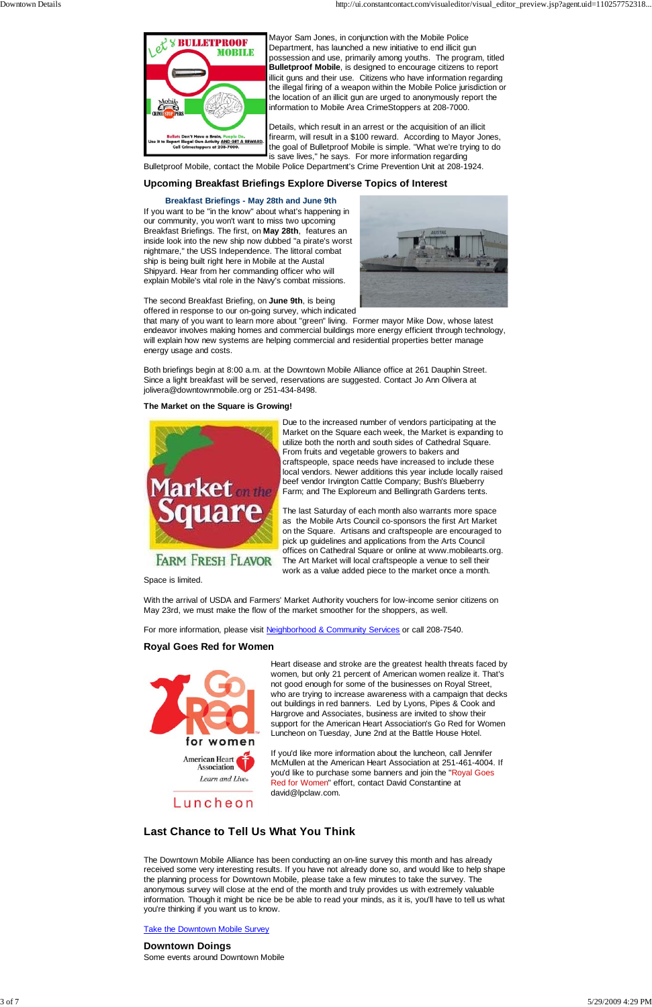

Mayor Sam Jones, in conjunction with the Mobile Police Department, has launched a new initiative to end illicit gun possession and use, primarily among youths. The program, titled **Bulletproof Mobile**, is designed to encourage citizens to report illicit guns and their use. Citizens who have information regarding the illegal firing of a weapon within the Mobile Police jurisdiction or the location of an illicit gun are urged to anonymously report the information to Mobile Area CrimeStoppers at 208-7000.

Details, which result in an arrest or the acquisition of an illicit firearm, will result in a \$100 reward. According to Mayor Jones, the goal of Bulletproof Mobile is simple. "What we're trying to do is save lives," he says. For more information regarding

Bulletproof Mobile, contact the Mobile Police Department's Crime Prevention Unit at 208-1924.

#### **Upcoming Breakfast Briefings Explore Diverse Topics of Interest**

#### **Breakfast Briefings - May 28th and June 9th**

If you want to be "in the know" about what's happening in our community, you won't want to miss two upcoming Breakfast Briefings. The first, on **May 28th**, features an inside look into the new ship now dubbed "a pirate's worst nightmare," the USS Independence. The littoral combat ship is being built right here in Mobile at the Austal Shipyard. Hear from her commanding officer who will explain Mobile's vital role in the Navy's combat missions.



The second Breakfast Briefing, on **June 9th**, is being offered in response to our on-going survey, which indicated

that many of you want to learn more about "green" living. Former mayor Mike Dow, whose latest endeavor involves making homes and commercial buildings more energy efficient through technology, will explain how new systems are helping commercial and residential properties better manage energy usage and costs.

Both briefings begin at 8:00 a.m. at the Downtown Mobile Alliance office at 261 Dauphin Street. Since a light breakfast will be served, reservations are suggested. Contact Jo Ann Olivera at jolivera@downtownmobile.org or 251-434-8498.

#### **The Market on the Square is Growing!**



Due to the increased number of vendors participating at the Market on the Square each week, the Market is expanding to utilize both the north and south sides of Cathedral Square. From fruits and vegetable growers to bakers and craftspeople, space needs have increased to include these local vendors. Newer additions this year include locally raised beef vendor Irvington Cattle Company; Bush's Blueberry Farm; and The Exploreum and Bellingrath Gardens tents.

The last Saturday of each month also warrants more space as the Mobile Arts Council co-sponsors the first Art Market on the Square. Artisans and craftspeople are encouraged to pick up guidelines and applications from the Arts Council offices on Cathedral Square or online at www.mobilearts.org. The Art Market will local craftspeople a venue to sell their work as a value added piece to the market once a month.

Space is limited.

With the arrival of USDA and Farmers' Market Authority vouchers for low-income senior citizens on May 23rd, we must make the flow of the market smoother for the shoppers, as well.

For more information, please visit Neighborhood & Community Services or call 208-7540.

#### **Royal Goes Red for Women**



Heart disease and stroke are the greatest health threats faced by women, but only 21 percent of American women realize it. That's not good enough for some of the businesses on Royal Street, who are trying to increase awareness with a campaign that decks out buildings in red banners. Led by Lyons, Pipes & Cook and Hargrove and Associates, business are invited to show their support for the American Heart Association's Go Red for Women Luncheon on Tuesday, June 2nd at the Battle House Hotel.

If you'd like more information about the luncheon, call Jennifer McMullen at the American Heart Association at 251-461-4004. If you'd like to purchase some banners and join the "Royal Goes Red for Women" effort, contact David Constantine at david@lpclaw.com.

## **Last Chance to Tell Us What You Think**

The Downtown Mobile Alliance has been conducting an on-line survey this month and has already received some very interesting results. If you have not already done so, and would like to help shape the planning process for Downtown Mobile, please take a few minutes to take the survey. The anonymous survey will close at the end of the month and truly provides us with extremely valuable information. Though it might be nice be be able to read your minds, as it is, you'll have to tell us what you're thinking if you want us to know.

**Take the Downtown Mobile Survey** 

#### **Downtown Doings** Some events around Downtown Mobile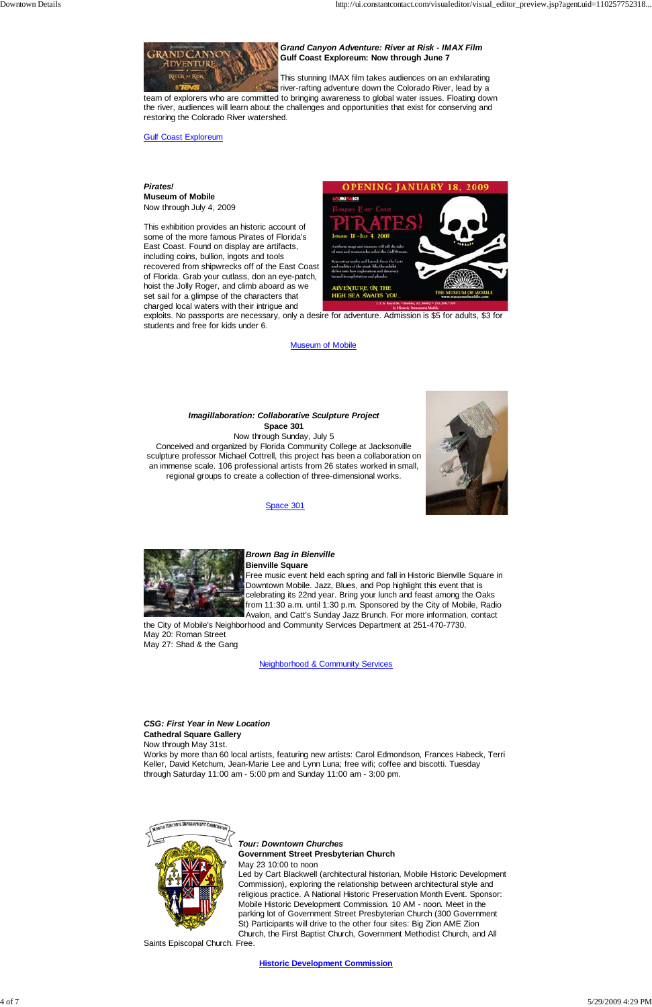

*Grand Canyon Adventure: River at Risk - IMAX Film* **Gulf Coast Exploreum: Now through June 7**

This stunning IMAX film takes audiences on an exhilarating river-rafting adventure down the Colorado River, lead by a

team of explorers who are committed to bringing awareness to global water issues. Floating down the river, audiences will learn about the challenges and opportunities that exist for conserving and restoring the Colorado River watershed.

Gulf Coast Exploreum

*Pirates!* **Museum of Mobile** Now through July 4, 2009

This exhibition provides an historic account of some of the more famous Pirates of Florida's East Coast. Found on display are artifacts, including coins, bullion, ingots and tools recovered from shipwrecks off of the East Coast of Florida. Grab your cutlass, don an eye-patch, hoist the Jolly Roger, and climb aboard as we set sail for a glimpse of the characters that charged local waters with their intrigue and



exploits. No passports are necessary, only a desire for adventure. Admission is \$5 for adults, \$3 for students and free for kids under 6.

#### Museum of Mobile



Space 301





#### *Brown Bag in Bienville*  **Bienville Square**

Free music event held each spring and fall in Historic Bienville Square in Downtown Mobile. Jazz, Blues, and Pop highlight this event that is celebrating its 22nd year. Bring your lunch and feast among the Oaks from 11:30 a.m. until 1:30 p.m. Sponsored by the City of Mobile, Radio Avalon, and Catt's Sunday Jazz Brunch. For more information, contact

the City of Mobile's Neighborhood and Community Services Department at 251-470-7730. May 20: Roman Street May 27: Shad & the Gang

Neighborhood & Community Services

*CSG: First Year in New Location* **Cathedral Square Gallery**

Now through May 31st.

Works by more than 60 local artists, featuring new artists: Carol Edmondson, Frances Habeck, Terri Keller, David Ketchum, Jean-Marie Lee and Lynn Luna; free wifi; coffee and biscotti. Tuesday through Saturday 11:00 am - 5:00 pm and Sunday 11:00 am - 3:00 pm.



*Tour: Downtown Churches* **Government Street Presbyterian Church**

May 23 10:00 to noon

Led by Cart Blackwell (architectural historian, Mobile Historic Development Commission), exploring the relationship between architectural style and religious practice. A National Historic Preservation Month Event. Sponsor: Mobile Historic Development Commission. 10 AM - noon. Meet in the parking lot of Government Street Presbyterian Church (300 Government St) Participants will drive to the other four sites: Big Zion AME Zion Church, the First Baptist Church, Government Methodist Church, and All

Saints Episcopal Church. Free.

**Historic Development Commission**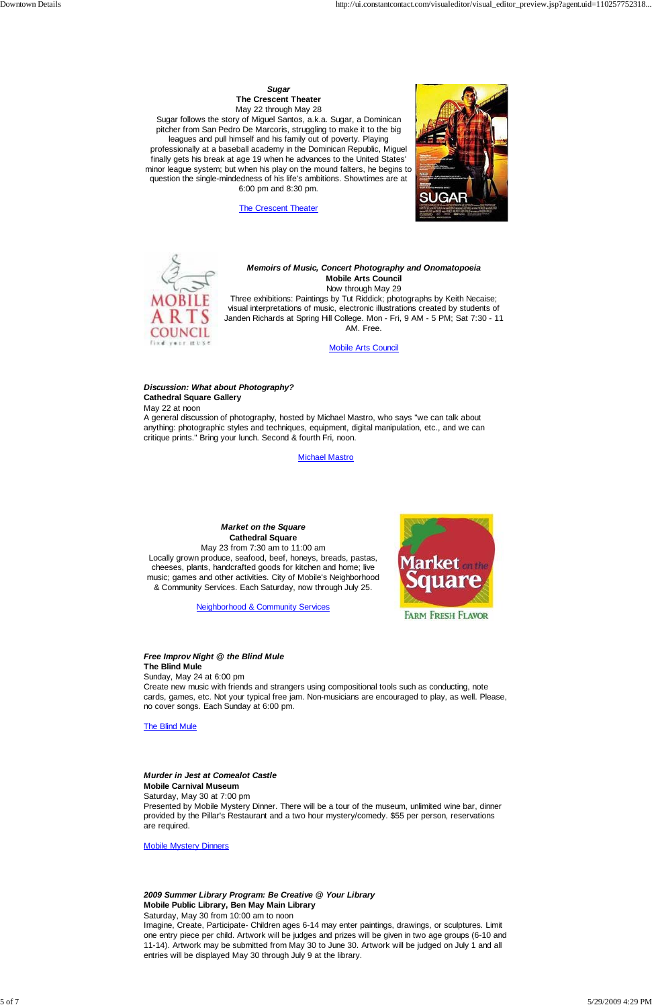### *Sugar* **The Crescent Theater**

May 22 through May 28 Sugar follows the story of Miguel Santos, a.k.a. Sugar, a Dominican pitcher from San Pedro De Marcoris, struggling to make it to the big leagues and pull himself and his family out of poverty. Playing professionally at a baseball academy in the Dominican Republic, Miguel finally gets his break at age 19 when he advances to the United States' minor league system; but when his play on the mound falters, he begins to question the single-mindedness of his life's ambitions. Showtimes are at 6:00 pm and 8:30 pm.

**The Crescent Theater** 





#### *Memoirs of Music, Concert Photography and Onomatopoeia* **Mobile Arts Council** Now through May 29

Three exhibitions: Paintings by Tut Riddick; photographs by Keith Necaise; visual interpretations of music, electronic illustrations created by students of Janden Richards at Spring Hill College. Mon - Fri, 9 AM - 5 PM; Sat 7:30 - 11 AM. Free.

Mobile Arts Council

#### *Discussion: What about Photography?* **Cathedral Square Gallery**

May 22 at noon

A general discussion of photography, hosted by Michael Mastro, who says "we can talk about anything: photographic styles and techniques, equipment, digital manipulation, etc., and we can critique prints." Bring your lunch. Second & fourth Fri, noon.

Michael Mastro

### *Market on the Square* **Cathedral Square**

May 23 from 7:30 am to 11:00 am Locally grown produce, seafood, beef, honeys, breads, pastas, cheeses, plants, handcrafted goods for kitchen and home; live music; games and other activities. City of Mobile's Neighborhood & Community Services. Each Saturday, now through July 25.

Neighborhood & Community Services



#### *Free Improv Night @ the Blind Mule* **The Blind Mule**

Sunday, May 24 at 6:00 pm Create new music with friends and strangers using compositional tools such as conducting, note cards, games, etc. Not your typical free jam. Non-musicians are encouraged to play, as well. Please, no cover songs. Each Sunday at 6:00 pm.

The Blind Mule

#### *Murder in Jest at Comealot Castle*

#### **Mobile Carnival Museum**

Saturday, May 30 at 7:00 pm

Presented by Mobile Mystery Dinner. There will be a tour of the museum, unlimited wine bar, dinner provided by the Pillar's Restaurant and a two hour mystery/comedy. \$55 per person, reservations are required.

Mobile Mystery Dinners

## *2009 Summer Library Program: Be Creative @ Your Library*

### **Mobile Public Library, Ben May Main Library**

#### Saturday, May 30 from 10:00 am to noon

Imagine, Create, Participate- Children ages 6-14 may enter paintings, drawings, or sculptures. Limit one entry piece per child. Artwork will be judges and prizes will be given in two age groups (6-10 and 11-14). Artwork may be submitted from May 30 to June 30. Artwork will be judged on July 1 and all entries will be displayed May 30 through July 9 at the library.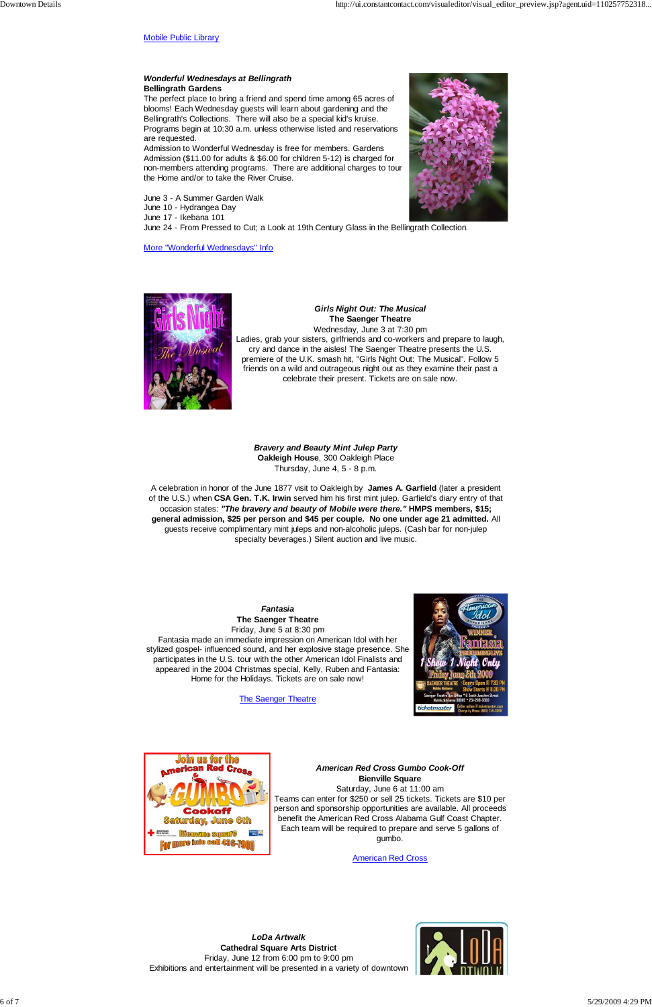Mobile Public Library

#### *Wonderful Wednesdays at Bellingrath*  **Bellingrath Gardens**

The perfect place to bring a friend and spend time among 65 acres of blooms! Each Wednesday guests will learn about gardening and the Bellingrath's Collections. There will also be a special kid's kruise. Programs begin at 10:30 a.m. unless otherwise listed and reservations are requested.

Admission to Wonderful Wednesday is free for members. Gardens Admission (\$11.00 for adults & \$6.00 for children 5-12) is charged for non-members attending programs. There are additional charges to tour the Home and/or to take the River Cruise.

June 3 - A Summer Garden Walk June 10 - Hydrangea Day June 17 - Ikebana 101 June 24 - From Pressed to Cut; a Look at 19th Century Glass in the Bellingrath Collection.

More "Wonderful Wednesdays" Info





*Girls Night Out: The Musical* **The Saenger Theatre** Wednesday, June 3 at 7:30 pm Ladies, grab your sisters, girlfriends and co-workers and prepare to laugh, cry and dance in the aisles! The Saenger Theatre presents the U.S. premiere of the U.K. smash hit, "Girls Night Out: The Musical". Follow 5 friends on a wild and outrageous night out as they examine their past a celebrate their present. Tickets are on sale now.

*Bravery and Beauty Mint Julep Party* **Oakleigh House**, 300 Oakleigh Place Thursday, June 4, 5 - 8 p.m.

A celebration in honor of the June 1877 visit to Oakleigh by **James A. Garfield** (later a president of the U.S.) when **CSA Gen. T.K. Irwin** served him his first mint julep. Garfield's diary entry of that occasion states: *"The bravery and beauty of Mobile were there."* **HMPS members, \$15; general admission, \$25 per person and \$45 per couple. No one under age 21 admitted.** All guests receive complimentary mint juleps and non-alcoholic juleps. (Cash bar for non-julep specialty beverages.) Silent auction and live music.

> *Fantasia* **The Saenger Theatre** Friday, June 5 at 8:30 pm

Fantasia made an immediate impression on American Idol with her stylized gospel- influenced sound, and her explosive stage presence. She participates in the U.S. tour with the other American Idol Finalists and appeared in the 2004 Christmas special, Kelly, Ruben and Fantasia: Home for the Holidays. Tickets are on sale now!

The Saenger Theatre





*American Red Cross Gumbo Cook-Off* **Bienville Square** Saturday, June 6 at 11:00 am Teams can enter for \$250 or sell 25 tickets. Tickets are \$10 per person and sponsorship opportunities are available. All proceeds benefit the American Red Cross Alabama Gulf Coast Chapter. Each team will be required to prepare and serve 5 gallons of gumbo.

American Red Cross

*LoDa Artwalk* **Cathedral Square Arts District** Friday, June 12 from 6:00 pm to 9:00 pm Exhibitions and entertainment will be presented in a variety of downtown